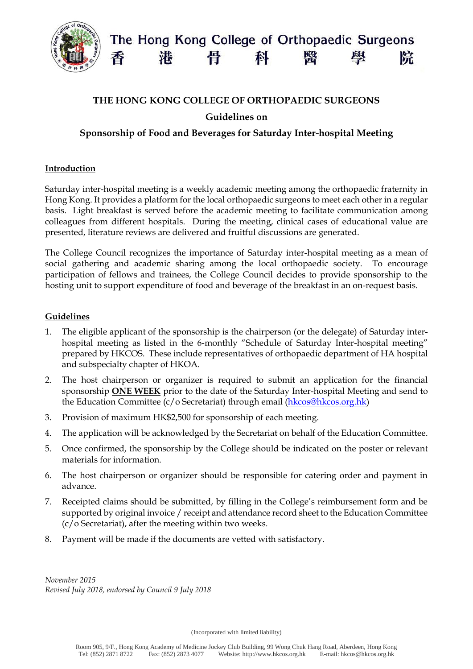

## **THE HONG KONG COLLEGE OF ORTHOPAEDIC SURGEONS**

**Guidelines on** 

# **Sponsorship of Food and Beverages for Saturday Inter-hospital Meeting**

### **Introduction**

Saturday inter-hospital meeting is a weekly academic meeting among the orthopaedic fraternity in Hong Kong. It provides a platform for the local orthopaedic surgeons to meet each other in a regular basis. Light breakfast is served before the academic meeting to facilitate communication among colleagues from different hospitals. During the meeting, clinical cases of educational value are presented, literature reviews are delivered and fruitful discussions are generated.

The College Council recognizes the importance of Saturday inter-hospital meeting as a mean of social gathering and academic sharing among the local orthopaedic society. To encourage participation of fellows and trainees, the College Council decides to provide sponsorship to the hosting unit to support expenditure of food and beverage of the breakfast in an on-request basis.

### **Guidelines**

- 1. The eligible applicant of the sponsorship is the chairperson (or the delegate) of Saturday interhospital meeting as listed in the 6-monthly "Schedule of Saturday Inter-hospital meeting" prepared by HKCOS. These include representatives of orthopaedic department of HA hospital and subspecialty chapter of HKOA.
- 2. The host chairperson or organizer is required to submit an application for the financial sponsorship **ONE WEEK** prior to the date of the Saturday Inter-hospital Meeting and send to the Education Committee (c/o Secretariat) through email [\(hkcos@hkcos.org.hk\)](mailto:hkcos@hkcos.org.hk)
- 3. Provision of maximum HK\$2,500 for sponsorship of each meeting.
- 4. The application will be acknowledged by the Secretariat on behalf of the Education Committee.
- 5. Once confirmed, the sponsorship by the College should be indicated on the poster or relevant materials for information.
- 6. The host chairperson or organizer should be responsible for catering order and payment in advance.
- 7. Receipted claims should be submitted, by filling in the College's reimbursement form and be supported by original invoice / receipt and attendance record sheet to the Education Committee (c/o Secretariat), after the meeting within two weeks.
- 8. Payment will be made if the documents are vetted with satisfactory.

*November 2015 Revised July 2018, endorsed by Council 9 July 2018*

(Incorporated with limited liability)